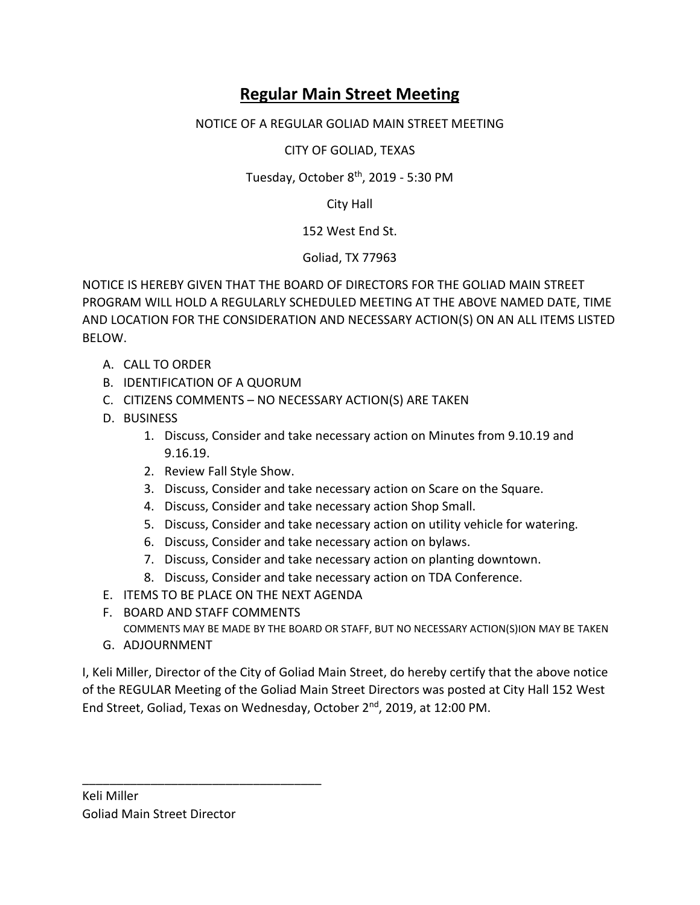## **Regular Main Street Meeting**

## NOTICE OF A REGULAR GOLIAD MAIN STREET MEETING

CITY OF GOLIAD, TEXAS

Tuesday, October 8<sup>th</sup>, 2019 - 5:30 PM

City Hall

152 West End St.

Goliad, TX 77963

NOTICE IS HEREBY GIVEN THAT THE BOARD OF DIRECTORS FOR THE GOLIAD MAIN STREET PROGRAM WILL HOLD A REGULARLY SCHEDULED MEETING AT THE ABOVE NAMED DATE, TIME AND LOCATION FOR THE CONSIDERATION AND NECESSARY ACTION(S) ON AN ALL ITEMS LISTED BELOW.

- A. CALL TO ORDER
- B. IDENTIFICATION OF A QUORUM
- C. CITIZENS COMMENTS NO NECESSARY ACTION(S) ARE TAKEN
- D. BUSINESS
	- 1. Discuss, Consider and take necessary action on Minutes from 9.10.19 and 9.16.19.
	- 2. Review Fall Style Show.
	- 3. Discuss, Consider and take necessary action on Scare on the Square.
	- 4. Discuss, Consider and take necessary action Shop Small.
	- 5. Discuss, Consider and take necessary action on utility vehicle for watering.
	- 6. Discuss, Consider and take necessary action on bylaws.
	- 7. Discuss, Consider and take necessary action on planting downtown.
	- 8. Discuss, Consider and take necessary action on TDA Conference.
- E. ITEMS TO BE PLACE ON THE NEXT AGENDA
- F. BOARD AND STAFF COMMENTS

\_\_\_\_\_\_\_\_\_\_\_\_\_\_\_\_\_\_\_\_\_\_\_\_\_\_\_\_\_\_\_\_\_\_\_

COMMENTS MAY BE MADE BY THE BOARD OR STAFF, BUT NO NECESSARY ACTION(S)ION MAY BE TAKEN

G. ADJOURNMENT

I, Keli Miller, Director of the City of Goliad Main Street, do hereby certify that the above notice of the REGULAR Meeting of the Goliad Main Street Directors was posted at City Hall 152 West End Street, Goliad, Texas on Wednesday, October 2nd, 2019, at 12:00 PM.